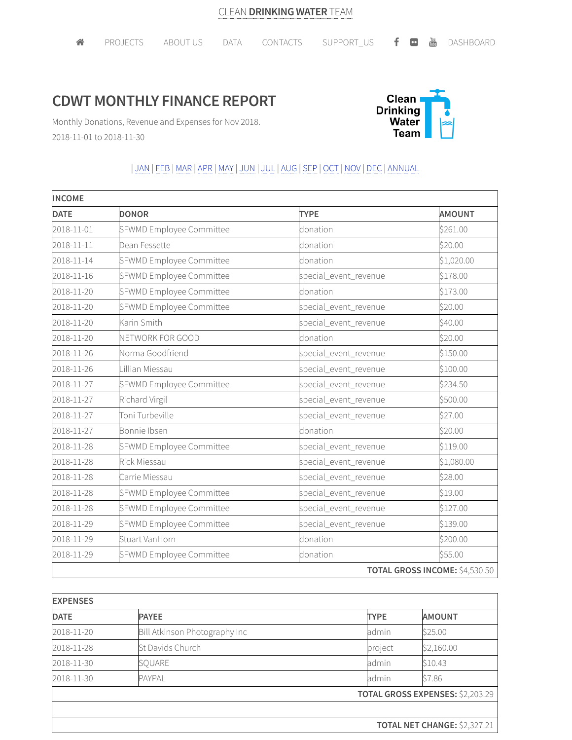## **CDWT MONTHLY FINANCE REPORT**



Monthly Donations, Revenue and Expenses for Nov 2018. 2018-11-01 to 2018-11-30

## | JAN | FEB |MAR |APR |MAY | JUN | JUL | AUG |SEP | OCT | NOV | DEC | ANNUAL

| <b>INCOME</b> |                          |                       |                                |  |
|---------------|--------------------------|-----------------------|--------------------------------|--|
| <b>DATE</b>   | <b>DONOR</b>             | <b>TYPE</b>           | <b>AMOUNT</b>                  |  |
| 2018-11-01    | SFWMD Employee Committee | donation              | \$261.00                       |  |
| 2018-11-11    | Dean Fessette            | donation              | \$20.00                        |  |
| 2018-11-14    | SFWMD Employee Committee | donation              | \$1,020.00                     |  |
| 2018-11-16    | SFWMD Employee Committee | special_event_revenue | \$178.00                       |  |
| 2018-11-20    | SFWMD Employee Committee | donation              | \$173.00                       |  |
| 2018-11-20    | SFWMD Employee Committee | special_event_revenue | \$20.00                        |  |
| 2018-11-20    | Karin Smith              | special_event_revenue | \$40.00                        |  |
| 2018-11-20    | NETWORK FOR GOOD         | donation              | \$20.00                        |  |
| 2018-11-26    | Norma Goodfriend         | special_event_revenue | \$150.00                       |  |
| 2018-11-26    | Lillian Miessau          | special_event_revenue | \$100.00                       |  |
| 2018-11-27    | SFWMD Employee Committee | special_event_revenue | \$234.50                       |  |
| 2018-11-27    | Richard Virgil           | special_event_revenue | \$500.00                       |  |
| 2018-11-27    | Toni Turbeville          | special_event_revenue | \$27.00                        |  |
| 2018-11-27    | Bonnie Ibsen             | donation              | \$20.00                        |  |
| 2018-11-28    | SFWMD Employee Committee | special_event_revenue | \$119.00                       |  |
| 2018-11-28    | <b>Rick Miessau</b>      | special_event_revenue | \$1,080.00                     |  |
| 2018-11-28    | Carrie Miessau           | special_event_revenue | \$28.00                        |  |
| 2018-11-28    | SFWMD Employee Committee | special_event_revenue | \$19.00                        |  |
| 2018-11-28    | SFWMD Employee Committee | special_event_revenue | \$127.00                       |  |
| 2018-11-29    | SFWMD Employee Committee | special_event_revenue | \$139.00                       |  |
| 2018-11-29    | Stuart VanHorn           | donation              | \$200.00                       |  |
| 2018-11-29    | SFWMD Employee Committee | donation              | \$55.00                        |  |
|               |                          |                       | TOTAL GROSS INCOME: \$4,530.50 |  |

| <b>EXPENSES</b> |                               |                              |                                         |  |
|-----------------|-------------------------------|------------------------------|-----------------------------------------|--|
| <b>DATE</b>     | <b>PAYEE</b>                  | <b>TYPE</b>                  | <b>AMOUNT</b>                           |  |
| 2018-11-20      | Bill Atkinson Photography Inc | admin                        | \$25.00                                 |  |
| 2018-11-28      | St Davids Church              | project                      | \$2,160.00                              |  |
| 2018-11-30      | SQUARE                        | admin                        | \$10.43                                 |  |
| 2018-11-30      | PAYPAL                        | admin                        | \$7.86                                  |  |
|                 |                               |                              | <b>TOTAL GROSS EXPENSES: \$2,203.29</b> |  |
|                 |                               |                              |                                         |  |
|                 |                               | TOTAL NET CHANGE: \$2,327.21 |                                         |  |